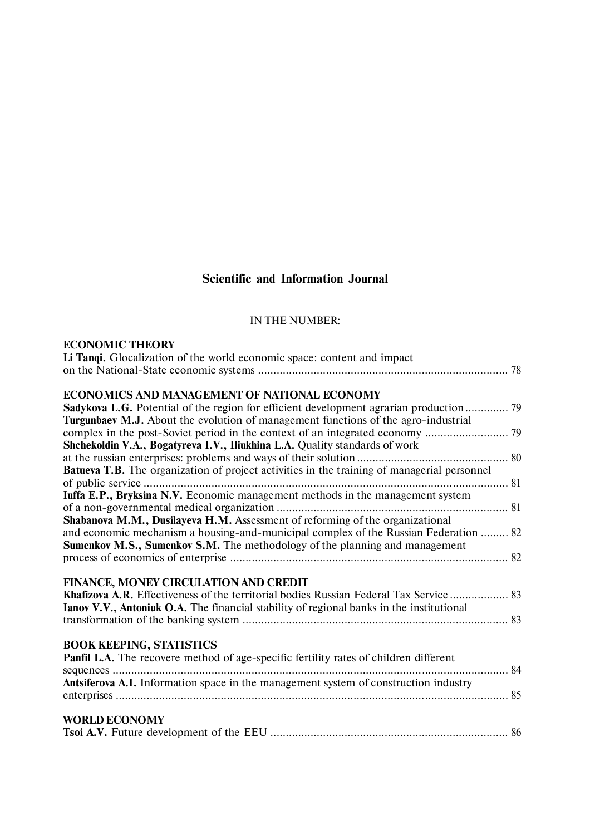# **Scientific and Information Journal**

#### IN THE NUMBER:

| <b>ECONOMIC THEORY</b> |  |
|------------------------|--|
|------------------------|--|

| Li Tangi. Glocalization of the world economic space: content and impact                            |  |
|----------------------------------------------------------------------------------------------------|--|
| ECONOMICS AND MANAGEMENT OF NATIONAL ECONOMY                                                       |  |
| <b>Sadykova L.G.</b> Potential of the region for efficient development agrarian production ? 9     |  |
| Turgunbaev M.J. About the evolution of management functions of the agro-industrial                 |  |
|                                                                                                    |  |
| Shchekoldin V.A., Bogatyreva I.V., Iliukhina L.A. Quality standards of work                        |  |
|                                                                                                    |  |
| <b>Batueva T.B.</b> The organization of project activities in the training of managerial personnel |  |
|                                                                                                    |  |
| Iuffa E.P., Bryksina N.V. Economic management methods in the management system                     |  |
|                                                                                                    |  |
| Shabanova M.M., Dusilayeva H.M. Assessment of reforming of the organizational                      |  |
| and economic mechanism a housing-and-municipal complex of the Russian Federation  82               |  |
| <b>Sumenkov M.S., Sumenkov S.M.</b> The methodology of the planning and management                 |  |
|                                                                                                    |  |
| FINANCE, MONEY CIRCULATION AND CREDIT                                                              |  |
| Khafizova A.R. Effectiveness of the territorial bodies Russian Federal Tax Service  83             |  |
| <b>Ianov V.V., Antoniuk O.A.</b> The financial stability of regional banks in the institutional    |  |
|                                                                                                    |  |
| <b>BOOK KEEPING, STATISTICS</b>                                                                    |  |
| Panfil L.A. The recovere method of age-specific fertility rates of children different              |  |
|                                                                                                    |  |
| Antsiferova A.I. Information space in the management system of construction industry               |  |
|                                                                                                    |  |
| <b>WORLD ECONOMY</b>                                                                               |  |
|                                                                                                    |  |
|                                                                                                    |  |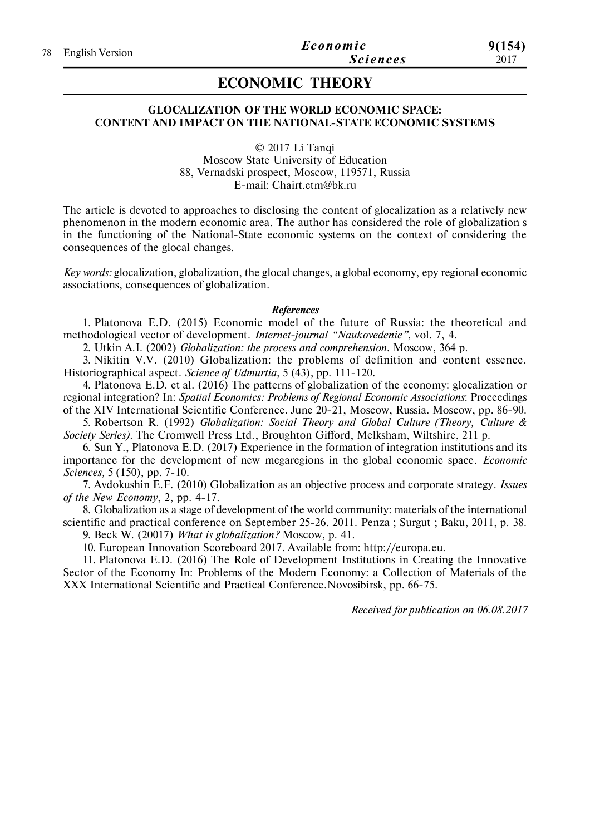## **ECONOMIC THEORY**

#### **GLOCALIZATION OF THE WORLD ECONOMIC SPACE: CONTENT AND IMPACT ON THE NATIONAL-STATE ECONOMIC SYSTEMS**

© 2017 Li Tanqi Moscow State University of Education 88, Vernadski prospect, Moscow, 119571, Russia E-mail: Chairt.etm@bk.ru

The article is devoted to approaches to disclosing the content of glocalization as a relatively new phenomenon in the modern economic area. The author has considered the role of globalization s in the functioning of the National-State economic systems on the context of considering the consequences of the glocal changes.

*Key words:* glocalization, globalization, the glocal changes, а global economy, еру regional economic associations, consequences of globalization.

#### *References*

1. Platonova E.D. (2015) Economic model of the future of Russia: the theoretical and methodological vector of development. *Internet-journal "Naukovedenie"*, vol. 7, 4.

2. Utkin A.I. (2002) *Globalization: the process and comprehension*. Moscow, 364 p.

3. Nikitin V.V. (2010) Globalization: the problems of definition and content essence. Historiographical aspect. *Science of Udmurtia*, 5 (43), pp. 111-120.

4. Platonova E.D. et al. (2016) The patterns of globalization of the economy: glocalization or regional integration? In: *Spatial Economics: Problems of Regional Economic Associations*: Proceedings of the XIV International Scientific Conference. June 20-21, Moscow, Russia. Moscow, pp. 86-90.

5. Robertson R. (1992) *Globalization: Social Theory and Global Culture (Theory, Culture & Society Series)*. The Cromwell Press Ltd., Broughton Gifford, Melksham, Wiltshire, 211 p.

6. Sun Y., Platonova E.D. (2017) Experience in the formation of integration institutions and its importance for the development of new megaregions in the global economic space. *Economic Sciences,* 5 (150), pp. 7-10.

7. Avdokushin E.F. (2010) Globalization as an objective process and corporate strategy. *Issues of the New Economy*, 2, pp. 4-17.

8. Globalization as a stage of development of the world community: materials of the international scientific and practical conference on September 25-26. 2011. Penza ; Surgut ; Baku, 2011, p. 38. 9. Beck W. (20017) *What is globalization?* Moscow, p. 41.

10. European Innovation Scoreboard 2017. Available from: http://europa.eu.

11. Platonova E.D. (2016) The Role of Development Institutions in Creating the Innovative Sector of the Economy In: Problems of the Modern Economy: a Collection of Materials of the XXX International Scientific and Practical Conference.Novosibirsk, pp. 66-75.

*Received for publication on 06.08.2017*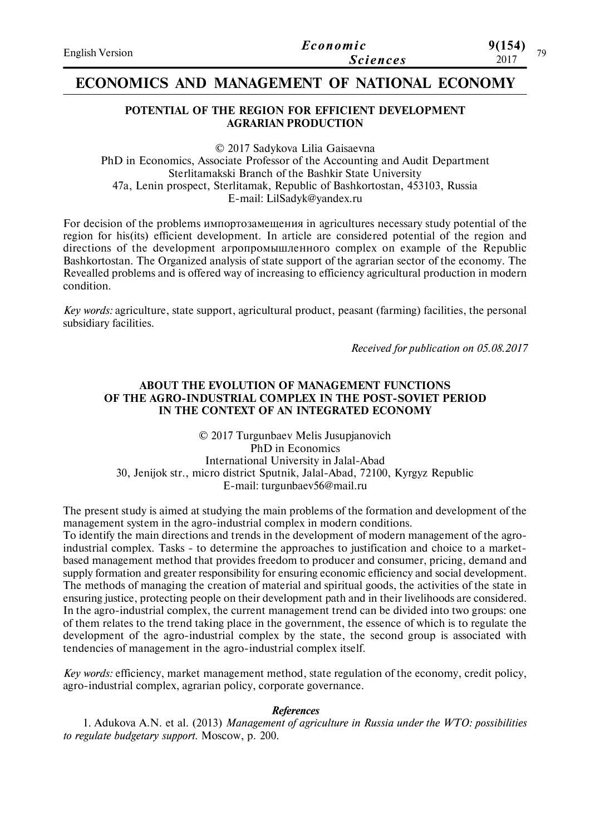| <b>English Version</b> | Economic        | 9(154)<br>70 |
|------------------------|-----------------|--------------|
|                        | <b>Sciences</b> | 2017         |

## **ECONOMICS AND MANAGEMENT OF NATIONAL ECONOMY**

#### **POTENTIAL OF THE REGION FOR EFFICIENT DEVELOPMENT AGRARIAN PRODUCTION**

© 2017 Sadykova Lilia Gaisaevna PhD in Economics, Associate Professor of the Accounting and Аudit Department Sterlitamakski Branch of the Bashkir State University 47a, Lenin prospect, Sterlitamak, Republic of Bashkortostan, 453103, Russia E-mail: LilSadyk@yandex.ru

For decision of the problems импортозамещения in agricultures necessary study potential of the region for his(its) efficient development. In article are considered potential of the region and directions of the development агропромышленного complex on example of the Republic Bashkortostan. The Organized analysis of state support of the agrarian sector of the economy. The Revealled problems and is offered way of increasing to efficiency agricultural production in modern condition.

*Key words:* agriculture, state support, agricultural product, peasant (farming) facilities, the personal subsidiary facilities.

*Received for publication on 05.08.2017*

#### **ABOUT THE EVOLUTION OF MANAGEMENT FUNCTIONS OF THE AGRO-INDUSTRIAL COMPLEX IN THE POST-SOVIET PERIOD IN THE CONTEXT OF AN INTEGRATED ECONOMY**

© 2017 Turgunbaev Melis Jusupjanovich PhD in Economics International University in Jalal-Abad 30, Jenijok str., micro district Sputnik, Jalal-Abad, 72100, Kyrgyz Republic E-mail: turgunbaev56@mail.ru

The present study is aimed at studying the main problems of the formation and development of the management system in the agro-industrial complex in modern conditions. To identify the main directions and trends in the development of modern management of the agroindustrial complex. Tasks - to determine the approaches to justification and choice to a marketbased management method that provides freedom to producer and consumer, pricing, demand and supply formation and greater responsibility for ensuring economic efficiency and social development. The methods of managing the creation of material and spiritual goods, the activities of the state in ensuring justice, protecting people on their development path and in their livelihoods are considered. In the agro-industrial complex, the current management trend can be divided into two groups: one of them relates to the trend taking place in the government, the essence of which is to regulate the development of the agro-industrial complex by the state, the second group is associated with tendencies of management in the agro-industrial complex itself.

*Key words:* efficiency, market management method, state regulation of the economy, credit policy, agro-industrial complex, agrarian policy, corporate governance.

#### *References*

1. Adukova A.N. et al. (2013) *Management of agriculture in Russia under the WTO: possibilities to regulate budgetary support*. Мoscow, p. 200.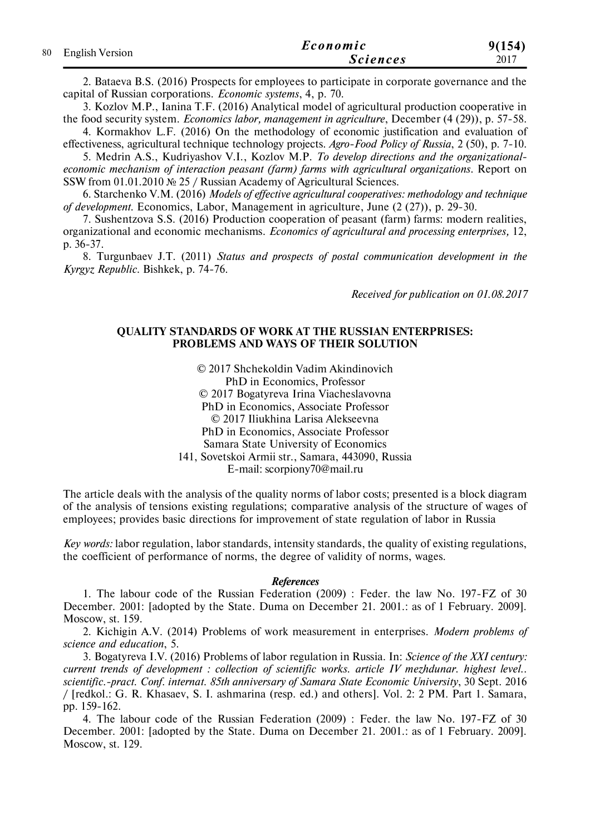|  | 80 English Version | Economic        | 9(154) |
|--|--------------------|-----------------|--------|
|  |                    | <b>Sciences</b> | 2017   |

2. Bataeva B.S. (2016) Prospects for employees to participate in corporate governance and the capital of Russian corporations. *Economic systems*, 4, p. 70.

3. Kozlov M.P., Ianina T.F. (2016) Analytical model of agricultural production cooperative in the food security system. *Economics labor, management in agriculture*, December (4 (29)), p. 57-58.

4. Kormakhov L.F. (2016) On the methodology of economic justification and evaluation of effectiveness, agricultural technique technology projects. *Agro-Food Policy of Russia*, 2 (50), p. 7-10.

5. Medrin A.S., Kudriyashov V.I., Kozlov M.P. *To develop directions and the organizationaleconomic mechanism of interaction peasant (farm) farms with agricultural organizations*. Report on SSW from 01.01.2010 № 25 / Russian Academy of Agricultural Sciences.

6. Starchenko V.M. (2016) *Models of effective agricultural cooperatives: methodology and technique of development*. Economics, Labor, Management in agriculture, June (2 (27)), p. 29-30.

7. Sushentzova S.S. (2016) Production cooperation of peasant (farm) farms: modern realities, organizational and economic mechanisms. *Economics of agricultural and processing enterprises,* 12, p. 36-37.

8. Turgunbaev J.T. (2011) *Status and prospects of postal communication development in the Kyrgyz Republic*. Bishkek, p. 74-76.

*Received for publication on 01.08.2017*

#### **QUALITY STANDARDS OF WORK AT THE RUSSIAN ENTERPRISES: PROBLEMS AND WAYS OF THEIR SOLUTION**

© 2017 Shchekoldin Vadim Akindinovich PhD in Economics, Professor © 2017 Bogatyreva Irina Viacheslavovna PhD in Economics, Associate Professor © 2017 Iliukhina Larisa Alekseevna PhD in Economics, Associate Professor Samara State University of Economics 141, Sovetskoi Armii str., Samara, 443090, Russia E-mail: scorpiony70@mail.ru

The article deals with the analysis of the quality norms of labor costs; presented is a block diagram of the analysis of tensions existing regulations; comparative analysis of the structure of wages of employees; provides basic directions for improvement of state regulation of labor in Russia

*Key words:* labor regulation, labor standards, intensity standards, the quality of existing regulations, the coefficient of performance of norms, the degree of validity of norms, wages.

#### *References*

1. The labour code of the Russian Federation (2009) : Feder. the law No. 197-FZ of 30 December. 2001: [adopted by the State. Duma on December 21. 2001.: as of 1 February. 2009]. Moscow, st. 159.

2. Kichigin A.V. (2014) Problems of work measurement in enterprises. *Modern problems of science and education*, 5.

3. Bogatyreva I.V. (2016) Problems of labor regulation in Russia. In: *Science of the XXI century: current trends of development : collection of scientific works. article IV mezhdunar. highest level.. scientific.-pract. Conf. internat. 85th anniversary of Samara State Economic University*, 30 Sept. 2016 / [redkol.: G. R. Khasaev, S. I. ashmarina (resp. ed.) and others]. Vol. 2: 2 PM. Part 1. Samara, pp. 159-162.

4. The labour code of the Russian Federation (2009) : Feder. the law No. 197-FZ of 30 December. 2001: [adopted by the State. Duma on December 21. 2001.: as of 1 February. 2009]. Moscow, st. 129.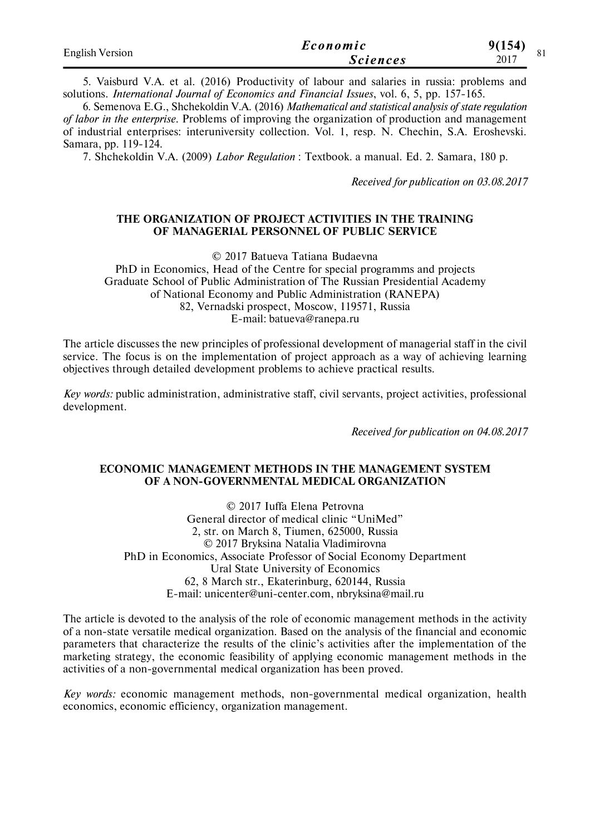| <b>English Version</b> | Economic        | 9(154) |
|------------------------|-----------------|--------|
|                        | <i>Sciences</i> | 2017   |

5. Vaisburd V.A. et al. (2016) Productivity of labour and salaries in russia: problems and solutions. *International Journal of Economics and Financial Issues*, vol. 6, 5, pp. 157-165.

6. Semenova E.G., Shchekoldin V.A. (2016) *Mathematical and statistical analysis of state regulation of labor in the enterprise.* Problems of improving the organization of production and management of industrial enterprises: interuniversity collection. Vol. 1, resp. N. Chechin, S.A. Eroshevski. Samara, pp. 119-124.

7. Shchekoldin V.A. (2009) *Labor Regulation* : Textbook. a manual. Ed. 2. Samara, 180 p.

*Received for publication on 03.08.2017*

#### **THE ORGANIZATION OF PROJECT ACTIVITIES IN THE TRAINING OF MANAGERIAL PERSONNEL OF PUBLIC SERVICE**

© 2017 Batueva Tatiana Budaevna

PhD in Economics, Head of the Centre for special programms and projects Graduate School of Public Administration of The Russian Presidential Academy of National Economy and Public Administration (RANEPA) 82, Vernadski prospect, Moscow, 119571, Russia Е-mail: batueva@ranepa.ru

The article discusses the new principles of professional development of managerial staff in the civil service. The focus is on the implementation of project approach as a way of achieving learning objectives through detailed development problems to achieve practical results.

*Key words:* public administration, administrative staff, civil servants, project activities, professional development.

*Received for publication on 04.08.2017*

#### **ECONOMIC MANAGEMENT METHODS IN THE MANAGEMENT SYSTEM OF A NON-GOVERNMENTAL MEDICAL ORGANIZATION**

© 2017 Iuffa Elena Petrovna General director of medical clinic "UniMed" 2, str. on March 8, Tiumen, 625000, Russia © 2017 Bryksina Natalia Vladimirovna PhD in Economics, Associate Professor of Social Economy Department Ural State University of Economics 62, 8 March str., Ekaterinburg, 620144, Russia E-mail: unicenter@uni-center.com, nbryksina@mail.ru

The article is devoted to the analysis of the role of economic management methods in the activity of a non-state versatile medical organization. Based on the analysis of the financial and economic parameters that characterize the results of the clinic's activities after the implementation of the marketing strategy, the economic feasibility of applying economic management methods in the activities of a non-governmental medical organization has been proved.

*Key words:* economic management methods, non-governmental medical organization, health economics, economic efficiency, organization management.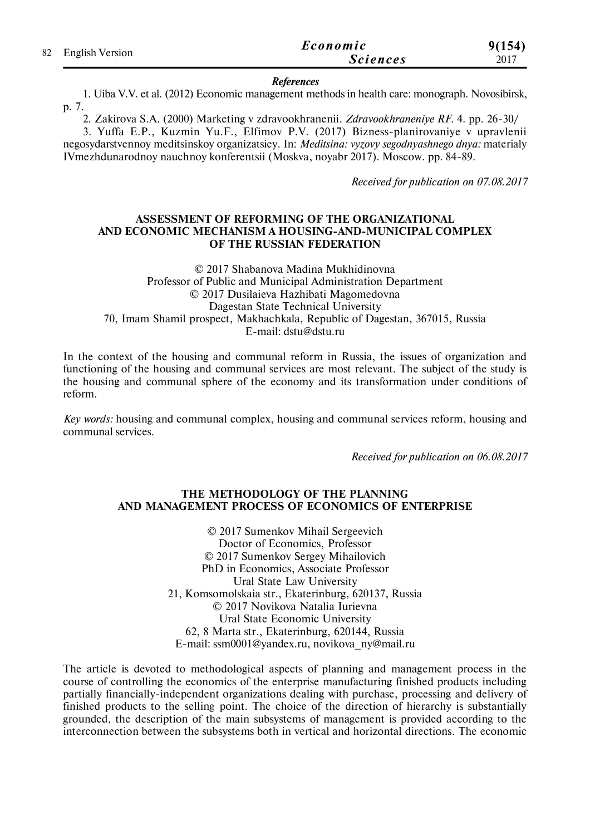|  | 82 English Version | Economic        | 9(154) |
|--|--------------------|-----------------|--------|
|  |                    | <i>Sciences</i> | 2017   |

#### *References*

1. Uiba V.V. et al. (2012) Economic management methods in health care: monograph. Novosibirsk, p. 7.

2. Zakirova S.A. (2000) Marketing v zdravookhranenii. *Zdravookhraneniye RF.* 4. pp. 26-30/

3. Yuffa E.P., Kuzmin Yu.F., Elfimov P.V. (2017) Bizness-planirovaniye v upravlenii negosydarstvennoy meditsinskoy organizatsiey. In: *Meditsina: vyzovy segodnyashnego dnya:* materialy IVmezhdunarodnoy nauchnoy konferentsii (Moskva, noyabr 2017). Moscow. pp. 84-89.

*Received for publication on 07.08.2017*

#### **ASSESSMENT OF REFORMING OF THE ORGANIZATIONAL AND ECONOMIC MECHANISM A HOUSING-AND-MUNICIPAL COMPLEX OF THE RUSSIAN FEDERATION**

© 2017 Shabanova Madina Mukhidinovna Professor of Public and Municipal Administration Department © 2017 Dusilaieva Hazhibati Magomedovna Dagestan State Technical University 70, Imam Shamil prospect, Makhachkala, Republic of Dagestan, 367015, Russia E-mail: dstu@dstu.ru

In the context of the housing and communal reform in Russia, the issues of organization and functioning of the housing and communal services are most relevant. The subject of the study is the housing and communal sphere of the economy and its transformation under conditions of reform.

*Key words:* housing and communal complex, housing and communal services reform, housing and communal services.

*Received for publication on 06.08.2017*

#### **THE METHODOLOGY OF THE PLANNING AND MANAGEMENT PROCESS OF ECONOMICS OF ENTERPRISE**

© 2017 Sumenkov Mihail Sergeevich Doctor of Economics, Professor © 2017 Sumenkov Sergey Mihailovich PhD in Economics, Associate Professor Ural State Law University 21, Komsomolskaia str., Ekaterinburg, 620137, Russia © 2017 Novikova Natalia Iurievna Ural State Economic University 62, 8 Marta str., Ekaterinburg, 620144, Russia E-mail: ssm0001@yandex.ru, novikova\_ny@mail.ru

The article is devoted to methodological aspects of planning and management process in the course of controlling the economics of the enterprise manufacturing finished products including partially financially-independent organizations dealing with purchase, processing and delivery of finished products to the selling point. The choice of the direction of hierarchy is substantially grounded, the description of the main subsystems of management is provided according to the interconnection between the subsystems both in vertical and horizontal directions. The economic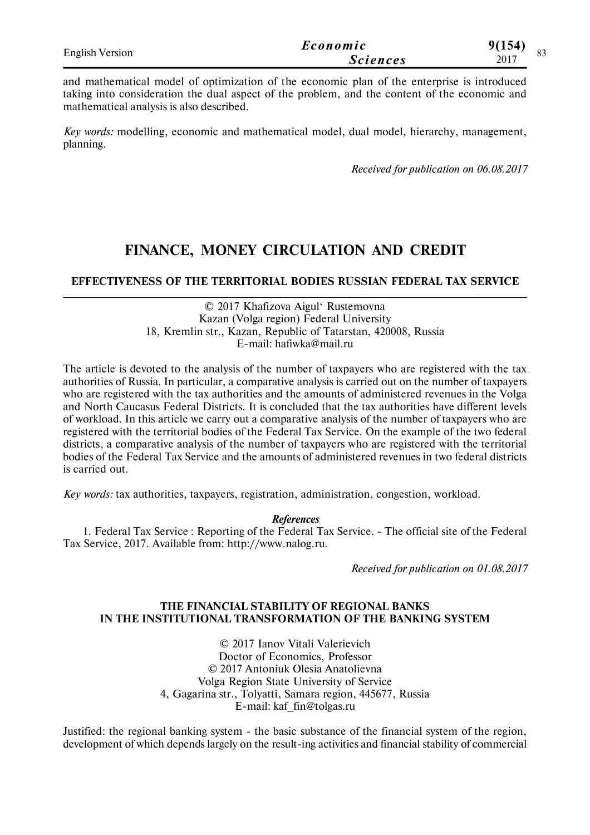| <b>English Version</b> | Economic        | 9(154)<br>$\Omega$ |
|------------------------|-----------------|--------------------|
|                        | <i>Sciences</i> | رە<br>2017         |

and mathematical model of optimization of the economic plan of the enterprise is introduced taking into consideration the dual aspect of the problem, and the content of the economic and mathematical analysis is also described.

*Key words:* modelling, economic and mathematical model, dual model, hierarchy, management, planning.

*Received for publication on 06.08.2017*

# **FINANCE, MONEY CIRCULATION AND CREDIT**

#### **EFFECTIVENESS OF THE TERRITORIAL BODIES RUSSIAN FEDERAL TAX SERVICE**

© 2017 Khafizova Aigul' Rustemovna Kazan (Volga region) Federal University 18, Kremlin str., Kazan, Republic of Tatarstan, 420008, Russia E-mail: hafiwka@mail.ru

The article is devoted to the analysis of the number of taxpayers who are registered with the tax authorities of Russia. In particular, a comparative analysis is carried out on the number of taxpayers who are registered with the tax authorities and the amounts of administered revenues in the Volga and North Caucasus Federal Districts. It is concluded that the tax authorities have different levels of workload. In this article we carry out a comparative analysis of the number of taxpayers who are registered with the territorial bodies of the Federal Tax Service. On the example of the two federal districts, a comparative analysis of the number of taxpayers who are registered with the territorial bodies of the Federal Tax Service and the amounts of administered revenues in two federal districts is carried out.

*Key words:* tax authorities, taxpayers, registration, administration, congestion, workload.

#### *References*

1. Federal Tax Service : Reporting of the Federal Tax Service. - The official site of the Federal Tax Service, 2017. Available from: http://www.nalog.ru.

*Received for publication on 01.08.2017*

#### **THE FINANCIAL STABILITY OF REGIONAL BANKS IN THE INSTITUTIONAL TRANSFORMATION OF THE BANKING SYSTEM**

© 2017 Ianov Vitali Valerievich Doctor of Economics, Professor © 2017 Antoniuk Olesia Anatolievna Volga Region State University of Service 4, Gagarina str., Tolyatti, Samara region, 445677, Russia E-mail: kaf\_fin@tolgas.ru

Justified: the regional banking system - the basic substance of the financial system of the region, development of which depends largely on the result-ing activities and financial stability of commercial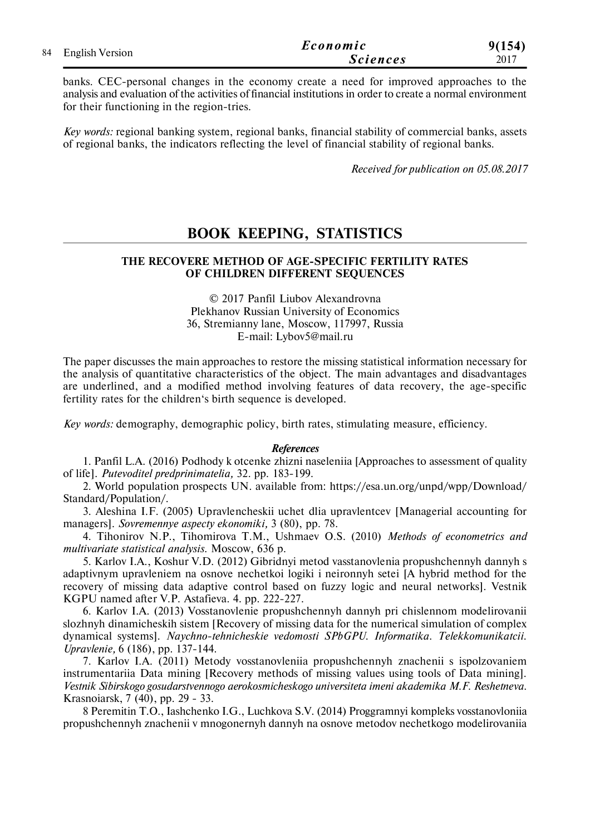|                    | Economic        | 9(154) |
|--------------------|-----------------|--------|
| 84 English Version | <i>Sciences</i> | 2017   |

banks. CEC-personal changes in the economy create a need for improved approaches to the analysis and evaluation of the activities of financial institutions in order to create a normal environment for their functioning in the region-tries.

*Key words:* regional banking system, regional banks, financial stability of commercial banks, assets of regional banks, the indicators reflecting the level of financial stability of regional banks.

*Received for publication on 05.08.2017*

### **BOOK KEEPING, STATISTICS**

#### **THE RECOVERE METHOD OF AGE-SPECIFIC FERTILITY RATES OF CHILDREN DIFFERENT SEQUENCES**

© 2017 Panfil Liubov Alexandrovna Plekhanov Russian University of Economics 36, Stremianny lane, Moscow, 117997, Russia E-mail: Lybov5@mail.ru

The paper discusses the main approaches to restore the missing statistical information necessary for the analysis of quantitative characteristics of the object. The main advantages and disadvantages are underlined, and a modified method involving features of data recovery, the age-specific fertility rates for the children's birth sequence is developed.

*Key words:* demography, demographic policy, birth rates, stimulating measure, efficiency.

#### *References*

1. Panfil L.A. (2016) Podhody k otcenke zhizni naseleniia [Approaches to assessment of quality of life]. *Putevoditel predprinimatelia,* 32. pp. 183-199.

2. World population prospects UN. available from: https://esa.un.org/unpd/wpp/Download/ Standard/Population/.

3. Aleshina I.F. (2005) Upravlencheskii uchet dlia upravlentcev [Managerial accounting for managers]. *Sovremennye aspecty ekonomiki,* 3 (80), pp. 78.

4. Tihonirov N.P., Tihomirova T.M., Ushmaev O.S. (2010) *Methods of econometrics and multivariate statistical analysis.* Moscow, 636 p.

5. Karlov I.A., Koshur V.D. (2012) Gibridnyi metod vasstanovlenia propushchennyh dannyh s adaptivnym upravleniem na osnove nechetkoi logiki i neironnyh setei [A hybrid method for the recovery of missing data adaptive control based on fuzzy logic and neural networks]. Vestnik KGPU named after V.P. Astafieva. 4. pp. 222-227.

6. Karlov I.A. (2013) Vosstanovlenie propushchennyh dannyh pri chislennom modelirovanii slozhnyh dinamicheskih sistem [Recovery of missing data for the numerical simulation of complex dynamical systems]. *Naychno-tehnicheskie vedomosti SPbGPU. Informatika. Telekkomunikatcii. Upravlenie,* 6 (186), pp. 137-144.

7. Karlov I.A. (2011) Metody vosstanovleniia propushchennyh znachenii s ispolzovaniem instrumentariia Data mining [Recovery methods of missing values using tools of Data mining]. *Vestnik Sibirskogo gosudarstvennogo aerokosmicheskogo universiteta imeni akademika M.F. Reshetneva.* Krasnoiarsk, 7 (40), pp. 29 - 33.

8 Peremitin T.O., Iashchenko I.G., Luchkova S.V. (2014) Proggramnyi kompleks vosstanovloniia propushchennyh znachenii v mnogonernyh dannyh na osnove metodov nechetkogo modelirovaniia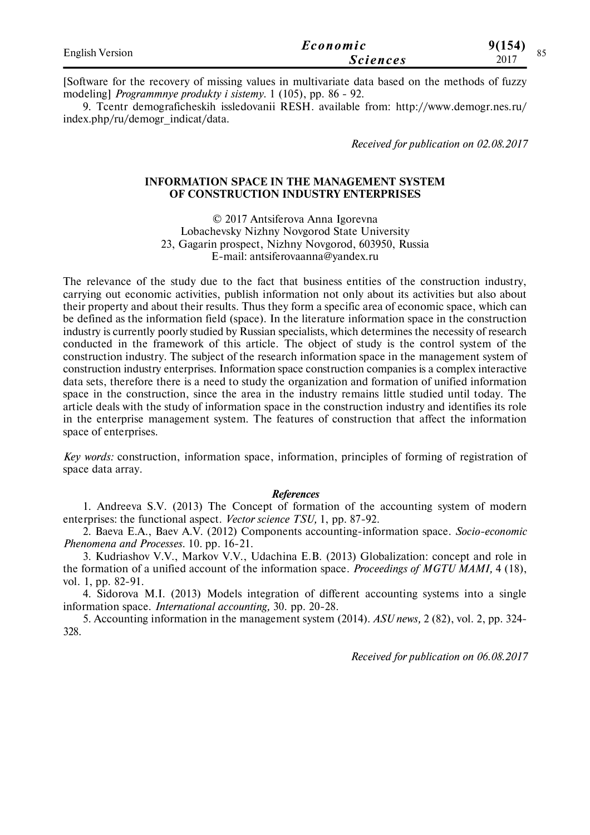| <b>English Version</b> | Economic        | 9(154) |
|------------------------|-----------------|--------|
|                        | <i>Sciences</i> | 2017   |

[Software for the recovery of missing values in multivariate data based on the methods of fuzzy modeling] *Programmnye produkty i sistemy.* 1 (105), pp. 86 - 92.

9. Tcentr demograficheskih issledovanii RESH. available from: http://www.demogr.nes.ru/ index.php/ru/demogr\_indicat/data.

*Received for publication on 02.08.2017*

#### **INFORMATION SPACE IN THE MANAGEMENT SYSTEM OF CONSTRUCTION INDUSTRY ENTERPRISES**

© 2017 Antsiferova Anna Igorevna Lobachevsky Nizhny Novgorod State University 23, Gagarin prospect, Nizhny Novgorod, 603950, Russia E-mail: antsiferovaanna@yandex.ru

The relevance of the study due to the fact that business entities of the construction industry, carrying out economic activities, publish information not only about its activities but also about their property and about their results. Thus they form a specific area of economic space, which can be defined as the information field (space). In the literature information space in the construction industry is currently poorly studied by Russian specialists, which determines the necessity of research conducted in the framework of this article. The object of study is the control system of the construction industry. The subject of the research information space in the management system of construction industry enterprises. Information space construction companies is a complex interactive data sets, therefore there is a need to study the organization and formation of unified information space in the construction, since the area in the industry remains little studied until today. The article deals with the study of information space in the construction industry and identifies its role in the enterprise management system. The features of construction that affect the information space of enterprises.

*Key words:* construction, information space, information, principles of forming of registration of space data array.

#### *References*

1. Andreeva S.V. (2013) The Concept of formation of the accounting system of modern enterprises: the functional aspect. *Vector science TSU,* 1, pp. 87-92.

2. Baeva E.A., Baev A.V. (2012) Components accounting-information space. *Socio-economic Phenomena and Processes*. 10. pp. 16-21.

3. Kudriashov V.V., Markov V.V., Udachina E.B. (2013) Globalization: concept and role in the formation of a unified account of the information space. *Proceedings of MGTU MAMI,* 4 (18), vol. 1, pp. 82-91.

4. Sidorova M.I. (2013) Models integration of different accounting systems into a single information space. *International accounting,* 30. pp. 20-28.

5. Accounting information in the management system (2014). *ASU news,* 2 (82), vol. 2, pp. 324- 328.

*Received for publication on 06.08.2017*